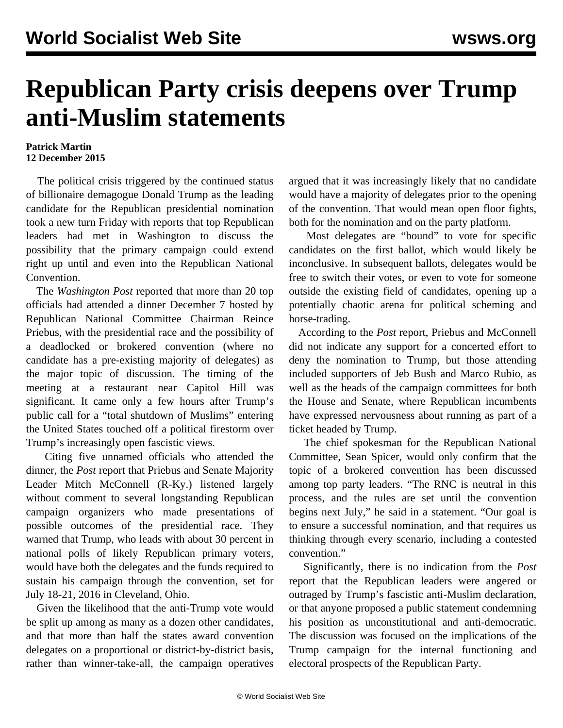## **Republican Party crisis deepens over Trump anti-Muslim statements**

## **Patrick Martin 12 December 2015**

 The political crisis triggered by the continued status of billionaire demagogue Donald Trump as the leading candidate for the Republican presidential nomination took a new turn Friday with reports that top Republican leaders had met in Washington to discuss the possibility that the primary campaign could extend right up until and even into the Republican National Convention.

 The *Washington Post* reported that more than 20 top officials had attended a dinner December 7 hosted by Republican National Committee Chairman Reince Priebus, with the presidential race and the possibility of a deadlocked or brokered convention (where no candidate has a pre-existing majority of delegates) as the major topic of discussion. The timing of the meeting at a restaurant near Capitol Hill was significant. It came only a few hours after Trump's public call for a "total shutdown of Muslims" entering the United States touched off a political firestorm over Trump's increasingly open fascistic views.

 Citing five unnamed officials who attended the dinner, the *Post* report that Priebus and Senate Majority Leader Mitch McConnell (R-Ky.) listened largely without comment to several longstanding Republican campaign organizers who made presentations of possible outcomes of the presidential race. They warned that Trump, who leads with about 30 percent in national polls of likely Republican primary voters, would have both the delegates and the funds required to sustain his campaign through the convention, set for July 18-21, 2016 in Cleveland, Ohio.

 Given the likelihood that the anti-Trump vote would be split up among as many as a dozen other candidates, and that more than half the states award convention delegates on a proportional or district-by-district basis, rather than winner-take-all, the campaign operatives

argued that it was increasingly likely that no candidate would have a majority of delegates prior to the opening of the convention. That would mean open floor fights, both for the nomination and on the party platform.

 Most delegates are "bound" to vote for specific candidates on the first ballot, which would likely be inconclusive. In subsequent ballots, delegates would be free to switch their votes, or even to vote for someone outside the existing field of candidates, opening up a potentially chaotic arena for political scheming and horse-trading.

 According to the *Post* report, Priebus and McConnell did not indicate any support for a concerted effort to deny the nomination to Trump, but those attending included supporters of Jeb Bush and Marco Rubio, as well as the heads of the campaign committees for both the House and Senate, where Republican incumbents have expressed nervousness about running as part of a ticket headed by Trump.

 The chief spokesman for the Republican National Committee, Sean Spicer, would only confirm that the topic of a brokered convention has been discussed among top party leaders. "The RNC is neutral in this process, and the rules are set until the convention begins next July," he said in a statement. "Our goal is to ensure a successful nomination, and that requires us thinking through every scenario, including a contested convention."

 Significantly, there is no indication from the *Post* report that the Republican leaders were angered or outraged by Trump's fascistic anti-Muslim declaration, or that anyone proposed a public statement condemning his position as unconstitutional and anti-democratic. The discussion was focused on the implications of the Trump campaign for the internal functioning and electoral prospects of the Republican Party.